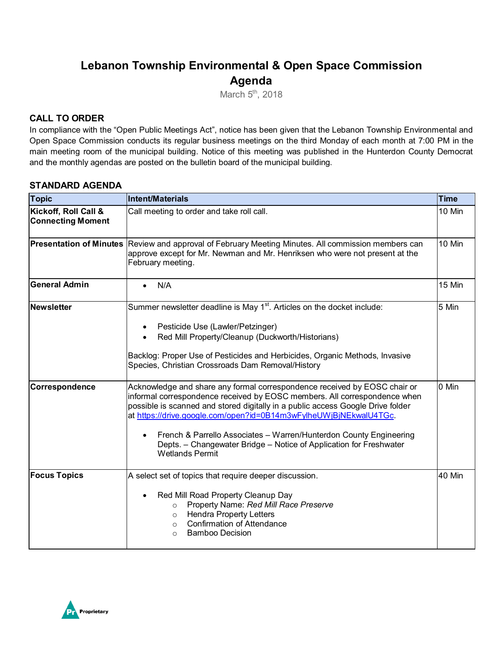# **Lebanon Township Environmental & Open Space Commission Agenda**

March  $5<sup>th</sup>$ , 2018

### **CALL TO ORDER**

In compliance with the "Open Public Meetings Act", notice has been given that the Lebanon Township Environmental and Open Space Commission conducts its regular business meetings on the third Monday of each month at 7:00 PM in the main meeting room of the municipal building. Notice of this meeting was published in the Hunterdon County Democrat and the monthly agendas are posted on the bulletin board of the municipal building.

#### **STANDARD AGENDA**

| <b>Topic</b>                                     | Intent/Materials                                                                                                                                                                                                                                                                                                                                                                                                                                                                                  | <b>Time</b> |
|--------------------------------------------------|---------------------------------------------------------------------------------------------------------------------------------------------------------------------------------------------------------------------------------------------------------------------------------------------------------------------------------------------------------------------------------------------------------------------------------------------------------------------------------------------------|-------------|
| Kickoff, Roll Call &<br><b>Connecting Moment</b> | Call meeting to order and take roll call.                                                                                                                                                                                                                                                                                                                                                                                                                                                         | 10 Min      |
| <b>Presentation of Minutes</b>                   | Review and approval of February Meeting Minutes. All commission members can<br>approve except for Mr. Newman and Mr. Henriksen who were not present at the<br>February meeting.                                                                                                                                                                                                                                                                                                                   | 10 Min      |
| <b>General Admin</b>                             | N/A<br>$\bullet$                                                                                                                                                                                                                                                                                                                                                                                                                                                                                  | 15 Min      |
| Newsletter                                       | Summer newsletter deadline is May 1 <sup>st</sup> . Articles on the docket include:<br>Pesticide Use (Lawler/Petzinger)<br>$\bullet$<br>Red Mill Property/Cleanup (Duckworth/Historians)<br>$\bullet$<br>Backlog: Proper Use of Pesticides and Herbicides, Organic Methods, Invasive<br>Species, Christian Crossroads Dam Removal/History                                                                                                                                                         | 5 Min       |
| Correspondence                                   | Acknowledge and share any formal correspondence received by EOSC chair or<br>informal correspondence received by EOSC members. All correspondence when<br>possible is scanned and stored digitally in a public access Google Drive folder<br>at https://drive.google.com/open?id=0B14m3wFylheUWjBjNEkwalU4TGc.<br>French & Parrello Associates - Warren/Hunterdon County Engineering<br>$\bullet$<br>Depts. - Changewater Bridge - Notice of Application for Freshwater<br><b>Wetlands Permit</b> | 0 Min       |
| <b>Focus Topics</b>                              | A select set of topics that require deeper discussion.<br>Red Mill Road Property Cleanup Day<br>$\bullet$<br>Property Name: Red Mill Race Preserve<br>$\circ$<br><b>Hendra Property Letters</b><br>$\circ$<br><b>Confirmation of Attendance</b><br>$\circ$<br><b>Bamboo Decision</b><br>$\Omega$                                                                                                                                                                                                  | 40 Min      |

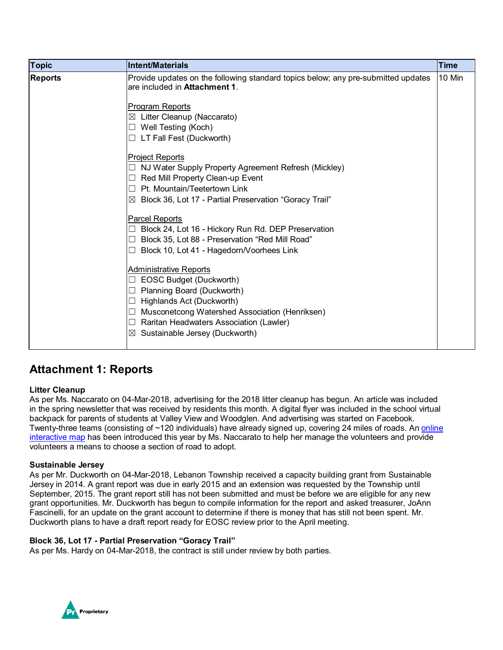| <b>Topic</b>   | <b>Intent/Materials</b>                                                                                                   | <b>Time</b> |
|----------------|---------------------------------------------------------------------------------------------------------------------------|-------------|
| <b>Reports</b> | Provide updates on the following standard topics below; any pre-submitted updates<br>are included in <b>Attachment 1.</b> | 10 Min      |
|                | Program Reports                                                                                                           |             |
|                | $\boxtimes$ Litter Cleanup (Naccarato)                                                                                    |             |
|                | $\Box$ Well Testing (Koch)                                                                                                |             |
|                | $\Box$ LT Fall Fest (Duckworth)                                                                                           |             |
|                | <b>Project Reports</b>                                                                                                    |             |
|                | NJ Water Supply Property Agreement Refresh (Mickley)                                                                      |             |
|                | Red Mill Property Clean-up Event                                                                                          |             |
|                | Pt. Mountain/Teetertown Link<br>П                                                                                         |             |
|                | $\boxtimes$ Block 36, Lot 17 - Partial Preservation "Goracy Trail"                                                        |             |
|                | Parcel Reports                                                                                                            |             |
|                | Block 24, Lot 16 - Hickory Run Rd. DEP Preservation                                                                       |             |
|                | Block 35, Lot 88 - Preservation "Red Mill Road"                                                                           |             |
|                | Block 10, Lot 41 - Hagedorn/Voorhees Link                                                                                 |             |
|                | <b>Administrative Reports</b>                                                                                             |             |
|                | EOSC Budget (Duckworth)                                                                                                   |             |
|                | Planning Board (Duckworth)                                                                                                |             |
|                | Highlands Act (Duckworth)                                                                                                 |             |
|                | Musconetcong Watershed Association (Henriksen)                                                                            |             |
|                | Raritan Headwaters Association (Lawler)                                                                                   |             |
|                | Sustainable Jersey (Duckworth)<br>$\boxtimes$                                                                             |             |
|                |                                                                                                                           |             |

## **Attachment 1: Reports**

#### **Litter Cleanup**

As per Ms. Naccarato on 04-Mar-2018, advertising for the 2018 litter cleanup has begun. An article was included in the spring newsletter that was received by residents this month. A digital flyer was included in the school virtual backpack for parents of students at Valley View and Woodglen. And advertising was started on Facebook. Twenty-three teams (consisting of ~120 individuals) have already signed up, covering 24 miles of roads. An online [interactive map](https://www.scribblemaps.com/maps/view/2018_Litter_Clean_Up/ZHMzsN1O_G) has been introduced this year by Ms. Naccarato to help her manage the volunteers and provide volunteers a means to choose a section of road to adopt.

#### **Sustainable Jersey**

As per Mr. Duckworth on 04-Mar-2018, Lebanon Township received a capacity building grant from Sustainable Jersey in 2014. A grant report was due in early 2015 and an extension was requested by the Township until September, 2015. The grant report still has not been submitted and must be before we are eligible for any new grant opportunities. Mr. Duckworth has begun to compile information for the report and asked treasurer, JoAnn Fascinelli, for an update on the grant account to determine if there is money that has still not been spent. Mr. Duckworth plans to have a draft report ready for EOSC review prior to the April meeting.

#### **Block 36, Lot 17 - Partial Preservation "Goracy Trail"**

As per Ms. Hardy on 04-Mar-2018, the contract is still under review by both parties.

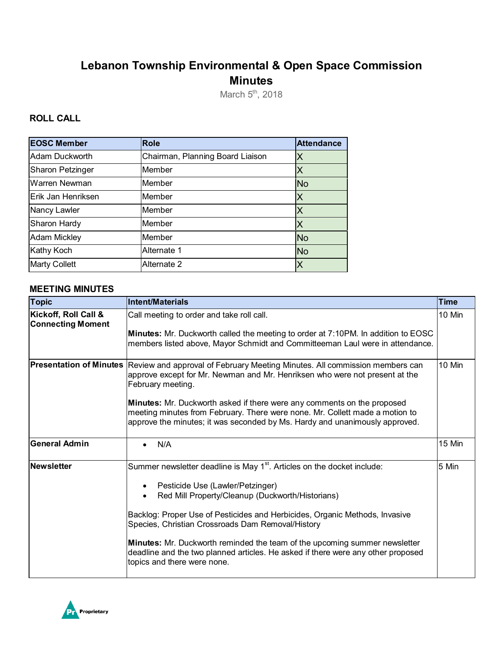# **Lebanon Township Environmental & Open Space Commission Minutes**

March 5<sup>th</sup>, 2018

### **ROLL CALL**

| <b>EOSC Member</b>   | Role                             | <b>Attendance</b> |
|----------------------|----------------------------------|-------------------|
| Adam Duckworth       | Chairman, Planning Board Liaison | Χ                 |
| Sharon Petzinger     | Member                           |                   |
| Warren Newman        | Member                           | <b>No</b>         |
| Erik Jan Henriksen   | Member                           | Χ                 |
| Nancy Lawler         | Member                           | Χ                 |
| Sharon Hardy         | Member                           | Х                 |
| <b>Adam Mickley</b>  | Member                           | <b>No</b>         |
| Kathy Koch           | Alternate 1                      | <b>No</b>         |
| <b>Marty Collett</b> | Alternate 2                      | Χ                 |

#### **MEETING MINUTES**

| <b>Topic</b>                                     | Intent/Materials                                                                                                                                                                                                                                                                                                                                                                                                                                                                                                        | <b>Time</b> |
|--------------------------------------------------|-------------------------------------------------------------------------------------------------------------------------------------------------------------------------------------------------------------------------------------------------------------------------------------------------------------------------------------------------------------------------------------------------------------------------------------------------------------------------------------------------------------------------|-------------|
| Kickoff, Roll Call &<br><b>Connecting Moment</b> | Call meeting to order and take roll call.<br><b>Minutes:</b> Mr. Duckworth called the meeting to order at 7:10PM. In addition to EOSC<br>members listed above, Mayor Schmidt and Committeeman Laul were in attendance.                                                                                                                                                                                                                                                                                                  | 10 Min      |
| <b>Presentation of Minutes</b>                   | Review and approval of February Meeting Minutes. All commission members can<br>approve except for Mr. Newman and Mr. Henriksen who were not present at the<br>February meeting.<br>Minutes: Mr. Duckworth asked if there were any comments on the proposed<br>meeting minutes from February. There were none. Mr. Collett made a motion to<br>approve the minutes; it was seconded by Ms. Hardy and unanimously approved.                                                                                               | 10 Min      |
| <b>General Admin</b>                             | N/A                                                                                                                                                                                                                                                                                                                                                                                                                                                                                                                     | 15 Min      |
| <b>Newsletter</b>                                | Summer newsletter deadline is May 1 <sup>st</sup> . Articles on the docket include:<br>Pesticide Use (Lawler/Petzinger)<br>Red Mill Property/Cleanup (Duckworth/Historians)<br>Backlog: Proper Use of Pesticides and Herbicides, Organic Methods, Invasive<br>Species, Christian Crossroads Dam Removal/History<br><b>Minutes:</b> Mr. Duckworth reminded the team of the upcoming summer newsletter<br>deadline and the two planned articles. He asked if there were any other proposed<br>topics and there were none. | 5 Min       |

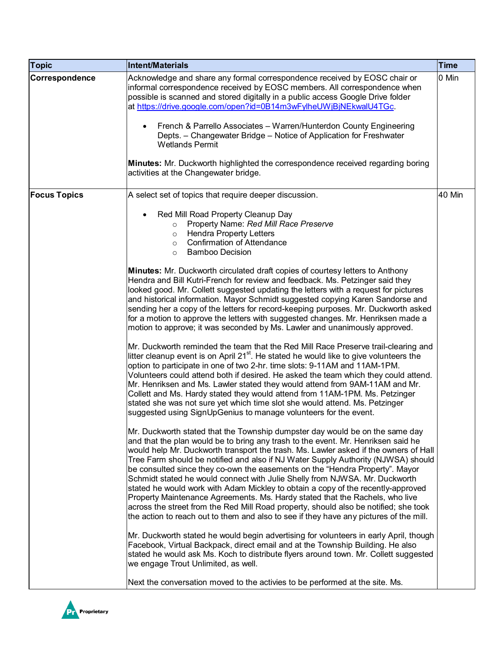| Topic               | Intent/Materials                                                                                                                                                                                                                                                                                                                                                                                                                                                                                                                                                                                                                                                                                                                                                                                                                                                                                                                                                                                                                                                                                                                                                                                                                                                                                                                                                                                                                                                                                                                                                                                                                                                                                                                                                                                                                                                                                                                                                                                                                                                                                                                                                                                                                                                                                                                                                                                                                                                                                                                                                                                                                                                                                                                                                                                                                                | <b>Time</b> |
|---------------------|-------------------------------------------------------------------------------------------------------------------------------------------------------------------------------------------------------------------------------------------------------------------------------------------------------------------------------------------------------------------------------------------------------------------------------------------------------------------------------------------------------------------------------------------------------------------------------------------------------------------------------------------------------------------------------------------------------------------------------------------------------------------------------------------------------------------------------------------------------------------------------------------------------------------------------------------------------------------------------------------------------------------------------------------------------------------------------------------------------------------------------------------------------------------------------------------------------------------------------------------------------------------------------------------------------------------------------------------------------------------------------------------------------------------------------------------------------------------------------------------------------------------------------------------------------------------------------------------------------------------------------------------------------------------------------------------------------------------------------------------------------------------------------------------------------------------------------------------------------------------------------------------------------------------------------------------------------------------------------------------------------------------------------------------------------------------------------------------------------------------------------------------------------------------------------------------------------------------------------------------------------------------------------------------------------------------------------------------------------------------------------------------------------------------------------------------------------------------------------------------------------------------------------------------------------------------------------------------------------------------------------------------------------------------------------------------------------------------------------------------------------------------------------------------------------------------------------------------------|-------------|
| Correspondence      | Acknowledge and share any formal correspondence received by EOSC chair or<br>informal correspondence received by EOSC members. All correspondence when<br>possible is scanned and stored digitally in a public access Google Drive folder<br>at https://drive.google.com/open?id=0B14m3wFylheUWjBjNEkwalU4TGc.<br>French & Parrello Associates - Warren/Hunterdon County Engineering<br>$\bullet$<br>Depts. - Changewater Bridge - Notice of Application for Freshwater<br><b>Wetlands Permit</b><br>Minutes: Mr. Duckworth highlighted the correspondence received regarding boring                                                                                                                                                                                                                                                                                                                                                                                                                                                                                                                                                                                                                                                                                                                                                                                                                                                                                                                                                                                                                                                                                                                                                                                                                                                                                                                                                                                                                                                                                                                                                                                                                                                                                                                                                                                                                                                                                                                                                                                                                                                                                                                                                                                                                                                            | 0 Min       |
|                     | activities at the Changewater bridge.                                                                                                                                                                                                                                                                                                                                                                                                                                                                                                                                                                                                                                                                                                                                                                                                                                                                                                                                                                                                                                                                                                                                                                                                                                                                                                                                                                                                                                                                                                                                                                                                                                                                                                                                                                                                                                                                                                                                                                                                                                                                                                                                                                                                                                                                                                                                                                                                                                                                                                                                                                                                                                                                                                                                                                                                           |             |
| <b>Focus Topics</b> | A select set of topics that require deeper discussion.<br>Red Mill Road Property Cleanup Day<br>Property Name: Red Mill Race Preserve<br>$\circ$<br><b>Hendra Property Letters</b><br>$\circ$<br><b>Confirmation of Attendance</b><br>$\circ$<br><b>Bamboo Decision</b><br>$\circ$<br><b>Minutes:</b> Mr. Duckworth circulated draft copies of courtesy letters to Anthony<br>Hendra and Bill Kutri-French for review and feedback. Ms. Petzinger said they<br>looked good. Mr. Collett suggested updating the letters with a request for pictures<br>and historical information. Mayor Schmidt suggested copying Karen Sandorse and<br>sending her a copy of the letters for record-keeping purposes. Mr. Duckworth asked<br>for a motion to approve the letters with suggested changes. Mr. Henriksen made a<br>motion to approve; it was seconded by Ms. Lawler and unanimously approved.<br>Mr. Duckworth reminded the team that the Red Mill Race Preserve trail-clearing and<br>litter cleanup event is on April 21 <sup>st</sup> . He stated he would like to give volunteers the<br>option to participate in one of two 2-hr. time slots: 9-11AM and 11AM-1PM.<br>Volunteers could attend both if desired. He asked the team which they could attend.<br>Mr. Henriksen and Ms. Lawler stated they would attend from 9AM-11AM and Mr.<br>Collett and Ms. Hardy stated they would attend from 11AM-1PM. Ms. Petzinger<br>stated she was not sure yet which time slot she would attend. Ms. Petzinger<br>suggested using SignUpGenius to manage volunteers for the event.<br>Mr. Duckworth stated that the Township dumpster day would be on the same day<br>and that the plan would be to bring any trash to the event. Mr. Henriksen said he<br>would help Mr. Duckworth transport the trash. Ms. Lawler asked if the owners of Hall<br>Tree Farm should be notified and also if NJ Water Supply Authority (NJWSA) should<br>be consulted since they co-own the easements on the "Hendra Property". Mayor<br>Schmidt stated he would connect with Julie Shelly from NJWSA. Mr. Duckworth<br>stated he would work with Adam Mickley to obtain a copy of the recently-approved<br>Property Maintenance Agreements. Ms. Hardy stated that the Rachels, who live<br>across the street from the Red Mill Road property, should also be notified; she took<br>the action to reach out to them and also to see if they have any pictures of the mill.<br>Mr. Duckworth stated he would begin advertising for volunteers in early April, though<br>Facebook, Virtual Backpack, direct email and at the Township Building. He also<br>stated he would ask Ms. Koch to distribute flyers around town. Mr. Collett suggested<br>we engage Trout Unlimited, as well.<br>Next the conversation moved to the activies to be performed at the site. Ms. | 40 Min      |

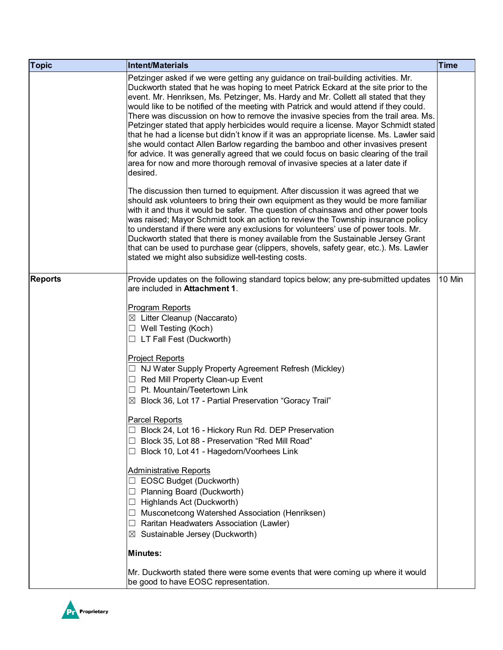| <b>Topic</b>   | Intent/Materials                                                                                                                                                                                                                                                                                                                                                                                                                                                                                                                                                                                                                                                                                                                                                                                                                                                                                             | <b>Time</b> |
|----------------|--------------------------------------------------------------------------------------------------------------------------------------------------------------------------------------------------------------------------------------------------------------------------------------------------------------------------------------------------------------------------------------------------------------------------------------------------------------------------------------------------------------------------------------------------------------------------------------------------------------------------------------------------------------------------------------------------------------------------------------------------------------------------------------------------------------------------------------------------------------------------------------------------------------|-------------|
|                | Petzinger asked if we were getting any guidance on trail-building activities. Mr.<br>Duckworth stated that he was hoping to meet Patrick Eckard at the site prior to the<br>event. Mr. Henriksen, Ms. Petzinger, Ms. Hardy and Mr. Collett all stated that they<br>would like to be notified of the meeting with Patrick and would attend if they could.<br>There was discussion on how to remove the invasive species from the trail area. Ms.<br>Petzinger stated that apply herbicides would require a license. Mayor Schmidt stated<br>that he had a license but didn't know if it was an appropriate license. Ms. Lawler said<br>she would contact Allen Barlow regarding the bamboo and other invasives present<br>for advice. It was generally agreed that we could focus on basic clearing of the trail<br>area for now and more thorough removal of invasive species at a later date if<br>desired. |             |
|                | The discussion then turned to equipment. After discussion it was agreed that we<br>should ask volunteers to bring their own equipment as they would be more familiar<br>with it and thus it would be safer. The question of chainsaws and other power tools<br>was raised; Mayor Schmidt took an action to review the Township insurance policy<br>to understand if there were any exclusions for volunteers' use of power tools. Mr.<br>Duckworth stated that there is money available from the Sustainable Jersey Grant<br>that can be used to purchase gear (clippers, shovels, safety gear, etc.). Ms. Lawler<br>stated we might also subsidize well-testing costs.                                                                                                                                                                                                                                      |             |
| <b>Reports</b> | Provide updates on the following standard topics below; any pre-submitted updates<br>are included in Attachment 1.                                                                                                                                                                                                                                                                                                                                                                                                                                                                                                                                                                                                                                                                                                                                                                                           | 10 Min      |
|                | <b>Program Reports</b><br>$\boxtimes$ Litter Cleanup (Naccarato)<br>$\Box$ Well Testing (Koch)<br>$\Box$ LT Fall Fest (Duckworth)<br><b>Project Reports</b><br>NJ Water Supply Property Agreement Refresh (Mickley)<br>$\Box$ Red Mill Property Clean-up Event<br>Pt. Mountain/Teetertown Link<br>Block 36, Lot 17 - Partial Preservation "Goracy Trail"<br>$\boxtimes$<br>Parcel Reports<br>Block 24, Lot 16 - Hickory Run Rd. DEP Preservation<br>Block 35, Lot 88 - Preservation "Red Mill Road"<br>Block 10, Lot 41 - Hagedorn/Voorhees Link<br><b>Administrative Reports</b>                                                                                                                                                                                                                                                                                                                            |             |
|                | EOSC Budget (Duckworth)<br>Planning Board (Duckworth)<br>ш<br>Highlands Act (Duckworth)<br>ப<br>Musconetcong Watershed Association (Henriksen)<br>Raritan Headwaters Association (Lawler)                                                                                                                                                                                                                                                                                                                                                                                                                                                                                                                                                                                                                                                                                                                    |             |
|                | Sustainable Jersey (Duckworth)                                                                                                                                                                                                                                                                                                                                                                                                                                                                                                                                                                                                                                                                                                                                                                                                                                                                               |             |
|                | <b>Minutes:</b>                                                                                                                                                                                                                                                                                                                                                                                                                                                                                                                                                                                                                                                                                                                                                                                                                                                                                              |             |
|                | Mr. Duckworth stated there were some events that were coming up where it would<br>be good to have EOSC representation.                                                                                                                                                                                                                                                                                                                                                                                                                                                                                                                                                                                                                                                                                                                                                                                       |             |